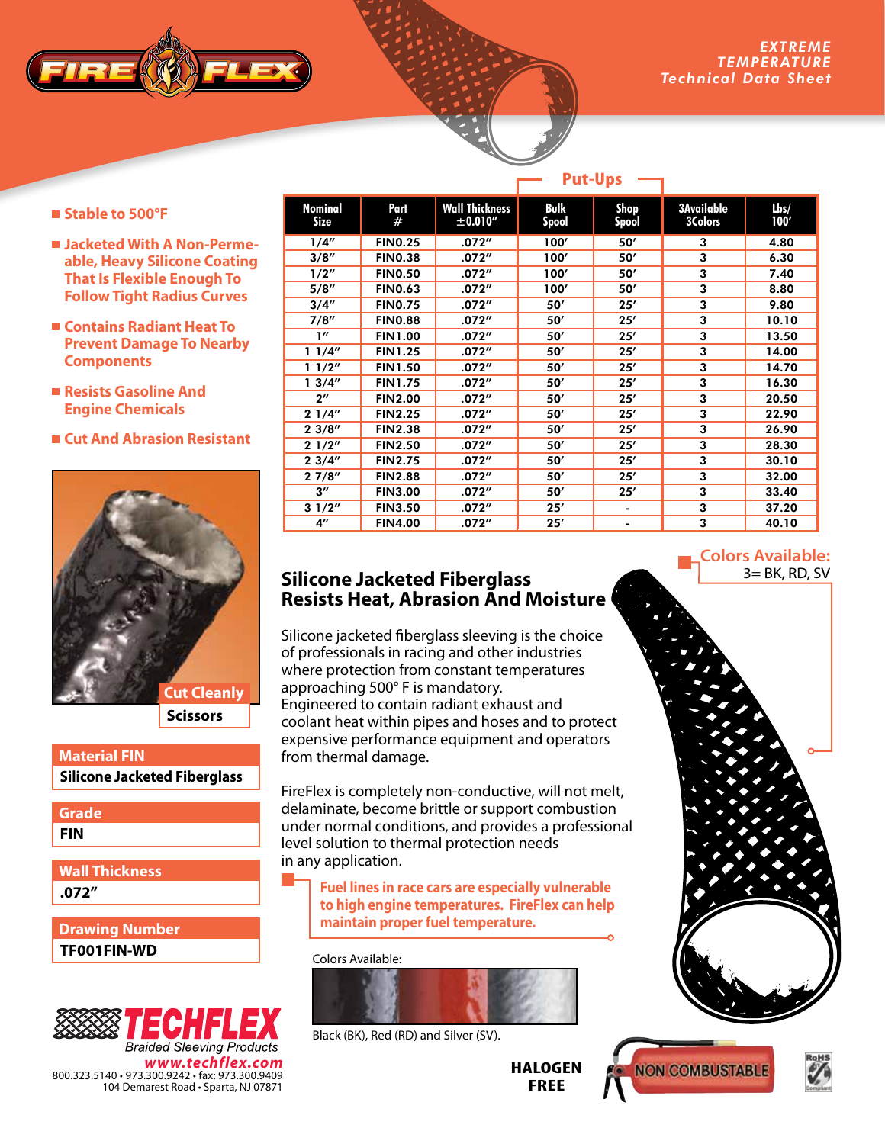

- Stable to 500°F
- **Jacketed With A Non-Permeable, Heavy Silicone Coating That Is Flexible Enough To Follow Tight Radius Curves**
- **Contains Radiant Heat To Prevent Damage To Nearby Components**
- **Resists Gasoline And Engine Chemicals**
- **Cut And Abrasion Resistant**



**Scissors**

**Silicone Jacketed Fiberglass Material FIN**

**FIN Grade**

**.072" Wall Thickness**

**TF001FIN-WD Drawing Number**



| <b>Nominal</b><br>Size | Part<br>#      | <b>Wall Thickness</b><br>± 0.010'' | <b>Bulk</b><br>Spool | <b>Shop</b><br>Spool | <b>3Available</b><br><b>3Colors</b> | $l$ <sub>bs</sub> $/$<br>100' |
|------------------------|----------------|------------------------------------|----------------------|----------------------|-------------------------------------|-------------------------------|
| 1/4"                   | <b>FINO.25</b> | .072''                             | 100'                 | 50'                  | 3                                   | 4.80                          |
| 3/8''                  | <b>FIN0.38</b> | .072″                              | 100'                 | 50'                  | 3                                   | 6.30                          |
| 1/2"                   | <b>FIN0.50</b> | .072''                             | 100'                 | 50'                  | 3                                   | 7.40                          |
| 5/8''                  | <b>FIN0.63</b> | .072″                              | 100'                 | 50'                  | 3                                   | 8.80                          |
| 3/4''                  | <b>FINO.75</b> | .072''                             | 50'                  | 25'                  | 3                                   | 9.80                          |
| 7/8''                  | <b>FIN0.88</b> | .072''                             | 50'                  | 25'                  | 3                                   | 10.10                         |
| 1''                    | <b>FIN1.00</b> | .072''                             | 50'                  | 25'                  | 3                                   | 13.50                         |
| 11/4"                  | <b>FIN1.25</b> | .072″                              | 50'                  | 25'                  | 3                                   | 14.00                         |
| 11/2"                  | <b>FIN1.50</b> | .072″                              | 50'                  | 25'                  | 3                                   | 14.70                         |
| 13/4''                 | <b>FIN1.75</b> | .072''                             | 50'                  | 25'                  | 3                                   | 16.30                         |
| $2^{\prime\prime}$     | <b>FIN2.00</b> | .072''                             | 50'                  | 25'                  | 3                                   | 20.50                         |
| 21/4"                  | <b>FIN2.25</b> | .072''                             | 50'                  | 25'                  | 3                                   | 22.90                         |
| 23/8''                 | <b>FIN2.38</b> | .072''                             | 50'                  | 25'                  | 3                                   | 26.90                         |
| 21/2"                  | <b>FIN2.50</b> | .072''                             | 50'                  | 25'                  | 3                                   | 28.30                         |
| 23/4"                  | <b>FIN2.75</b> | .072''                             | 50'                  | 25'                  | 3                                   | 30.10                         |
| 27/8"                  | <b>FIN2.88</b> | .072″                              | 50'                  | 25'                  | 3                                   | 32.00                         |
| $3^{\prime\prime}$     | <b>FIN3.00</b> | .072″                              | 50'                  | 25'                  | 3                                   | 33.40                         |
| 31/2"                  | <b>FIN3.50</b> | .072″                              | 25'                  | -                    | 3                                   | 37.20                         |
| $4^{\prime\prime}$     | <b>FIN4.00</b> | .072″                              | 25'                  |                      | 3                                   | 40.10                         |

**Put-Ups**

## **Silicone Jacketed Fiberglass Resists Heat, Abrasion And Moisture**

Silicone jacketed fiberglass sleeving is the choice of professionals in racing and other industries where protection from constant temperatures approaching 500° F is mandatory. Engineered to contain radiant exhaust and coolant heat within pipes and hoses and to protect expensive performance equipment and operators from thermal damage.

FireFlex is completely non-conductive, will not melt, delaminate, become brittle or support combustion under normal conditions, and provides a professional level solution to thermal protection needs in any application.

**Fuel lines in race cars are especially vulnerable to high engine temperatures. FireFlex can help maintain proper fuel temperature.**

Colors Available:



Black (BK), Red (RD) and Silver (SV).

**HALOGEN FREE**

**Colors Available:**  $3 = BK$ , RD, SV